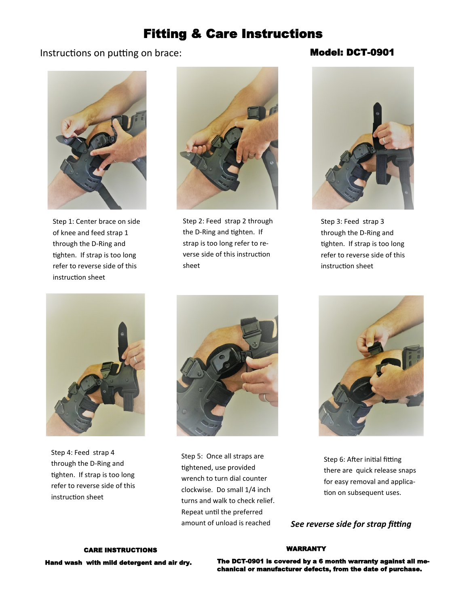# Fitting & Care Instructions

# Instructions on putting on brace: Model: DCT-0901



Step 1: Center brace on side of knee and feed strap 1 through the D-Ring and tighten. If strap is too long refer to reverse side of this instruction sheet



Step 2: Feed strap 2 through the D-Ring and tighten. If strap is too long refer to reverse side of this instruction sheet



Step 3: Feed strap 3 through the D-Ring and tighten. If strap is too long refer to reverse side of this instruction sheet



Step 4: Feed strap 4 through the D-Ring and tighten. If strap is too long refer to reverse side of this instruction sheet



Step 5: Once all straps are tightened, use provided wrench to turn dial counter clockwise. Do small 1/4 inch turns and walk to check relief. Repeat until the preferred amount of unload is reached



Step 6: After initial fitting there are quick release snaps for easy removal and application on subsequent uses.

*See reverse side for strap fitting* 

# CARE INSTRUCTIONS Hand wash with mild detergent and air dry.

#### WARRANTY

The DCT-0901 is covered by a 6 month warranty against all mechanical or manufacturer defects, from the date of purchase.